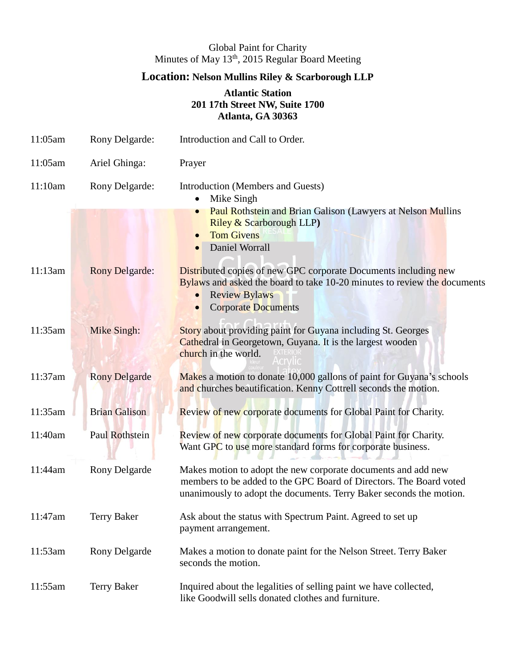## Global Paint for Charity Minutes of May 13<sup>th</sup>, 2015 Regular Board Meeting

## **Location: Nelson Mullins Riley & Scarborough LLP**

## **Atlantic Station 201 17th Street NW, Suite 1700 Atlanta, GA 30363**

| 11:05am | Rony Delgarde:        | Introduction and Call to Order.                                                                                                                                                                                       |
|---------|-----------------------|-----------------------------------------------------------------------------------------------------------------------------------------------------------------------------------------------------------------------|
| 11:05am | Ariel Ghinga:         | Prayer                                                                                                                                                                                                                |
| 11:10am | Rony Delgarde:        | Introduction (Members and Guests)<br>Mike Singh<br><b>Paul Rothstein and Brian Galison (Lawyers at Nelson Mullins</b><br>$\bullet$                                                                                    |
|         |                       | Riley & Scarborough LLP)<br><b>Tom Givens</b><br>$\bullet$<br>Daniel Worrall                                                                                                                                          |
| 11:13am | <b>Rony Delgarde:</b> | <b>Distributed copies of new GPC corporate Documents including new</b><br>Bylaws and asked the board to take 10-20 minutes to review the documents<br><b>Review Bylaws</b><br><b>Corporate Documents</b><br>$\bullet$ |
| 11:35am | Mike Singh:           | Story about providing paint for Guyana including St. Georges<br>Cathedral in Georgetown, Guyana. It is the largest wooden<br>church in the world.                                                                     |
| 11:37am | <b>Rony Delgarde</b>  | Makes a motion to donate 10,000 gallons of paint for Guyana's schools<br>and churches beautification. Kenny Cottrell seconds the motion.                                                                              |
| 11:35am | <b>Brian Galison</b>  | Review of new corporate documents for Global Paint for Charity.                                                                                                                                                       |
| 11:40am | Paul Rothstein        | Review of new corporate documents for Global Paint for Charity.<br>Want GPC to use more standard forms for corporate business.                                                                                        |
| 11:44am | Rony Delgarde         | Makes motion to adopt the new corporate documents and add new<br>members to be added to the GPC Board of Directors. The Board voted<br>unanimously to adopt the documents. Terry Baker seconds the motion.            |
| 11:47am | <b>Terry Baker</b>    | Ask about the status with Spectrum Paint. Agreed to set up<br>payment arrangement.                                                                                                                                    |
| 11:53am | Rony Delgarde         | Makes a motion to donate paint for the Nelson Street. Terry Baker<br>seconds the motion.                                                                                                                              |
| 11:55am | <b>Terry Baker</b>    | Inquired about the legalities of selling paint we have collected,<br>like Goodwill sells donated clothes and furniture.                                                                                               |